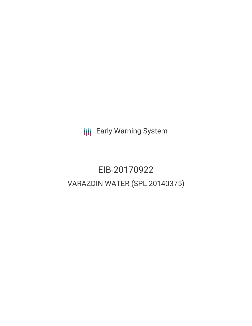**III** Early Warning System

# EIB-20170922 VARAZDIN WATER (SPL 20140375)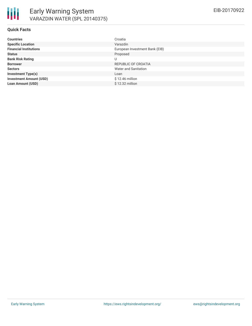#### **Quick Facts**

| <b>Countries</b>               | Croatia                        |
|--------------------------------|--------------------------------|
| <b>Specific Location</b>       | Varazdin                       |
| <b>Financial Institutions</b>  | European Investment Bank (EIB) |
| <b>Status</b>                  | Proposed                       |
| <b>Bank Risk Rating</b>        | U                              |
| <b>Borrower</b>                | REPUBLIC OF CROATIA            |
| <b>Sectors</b>                 | Water and Sanitation           |
| <b>Investment Type(s)</b>      | Loan                           |
| <b>Investment Amount (USD)</b> | \$12.46 million                |
| <b>Loan Amount (USD)</b>       | \$12.32 million                |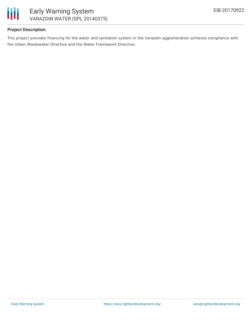

# **Project Description**

This project provides financing for the water and sanitation system in the Varazdin agglomeration achieves compliance with the Urban Wastewater Directive and the Water Framework Directive.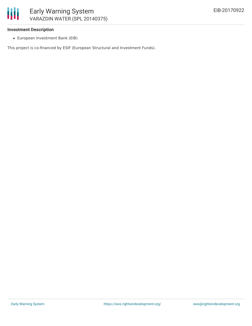#### **Investment Description**

European Investment Bank (EIB)

This project is co-financed by ESIF (European Structural and Investment Funds).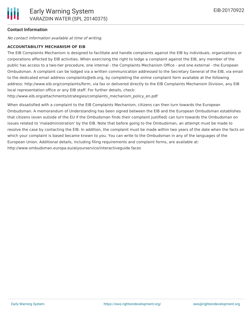### **Contact Information**

No contact information available at time of writing.

#### **ACCOUNTABILITY MECHANISM OF EIB**

The EIB Complaints Mechanism is designed to facilitate and handle complaints against the EIB by individuals, organizations or corporations affected by EIB activities. When exercising the right to lodge a complaint against the EIB, any member of the public has access to a two-tier procedure, one internal - the Complaints Mechanism Office - and one external - the European Ombudsman. A complaint can be lodged via a written communication addressed to the Secretary General of the EIB, via email to the dedicated email address complaints@eib.org, by completing the online complaint form available at the following address: http://www.eib.org/complaints/form, via fax or delivered directly to the EIB Complaints Mechanism Division, any EIB local representation office or any EIB staff. For further details, check:

http://www.eib.org/attachments/strategies/complaints\_mechanism\_policy\_en.pdf

When dissatisfied with a complaint to the EIB Complaints Mechanism, citizens can then turn towards the European Ombudsman. A memorandum of Understanding has been signed between the EIB and the European Ombudsman establishes that citizens (even outside of the EU if the Ombudsman finds their complaint justified) can turn towards the Ombudsman on issues related to 'maladministration' by the EIB. Note that before going to the Ombudsman, an attempt must be made to resolve the case by contacting the EIB. In addition, the complaint must be made within two years of the date when the facts on which your complaint is based became known to you. You can write to the Ombudsman in any of the languages of the European Union. Additional details, including filing requirements and complaint forms, are available at: http://www.ombudsman.europa.eu/atyourservice/interactiveguide.faces